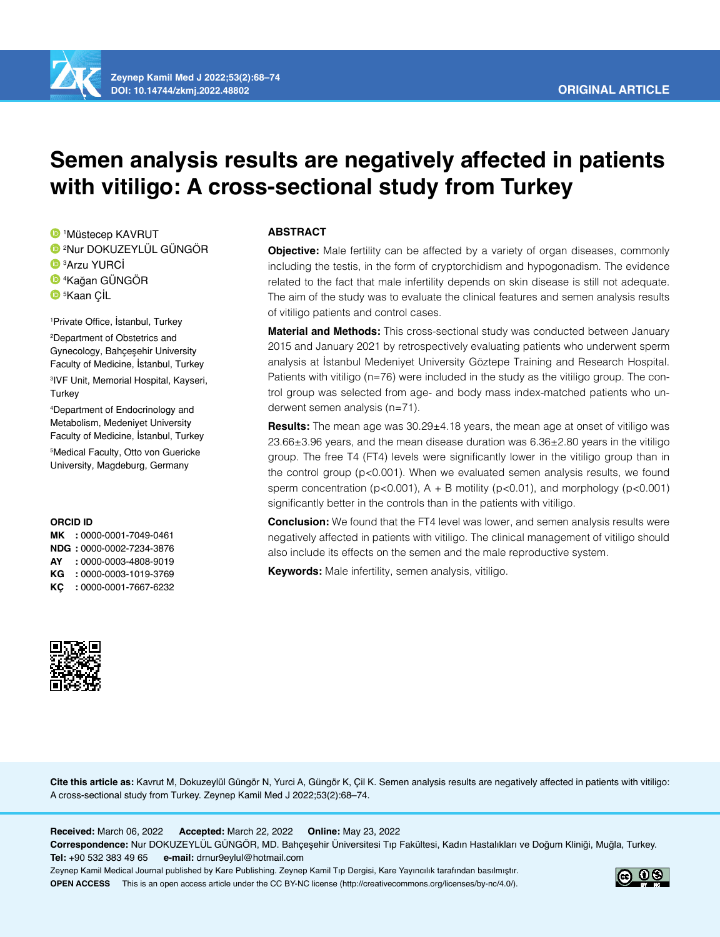

**Zeynep Kamil Med J 2022;53(2):68–74 DOI: 10.14744/zkmj.2022.48802**

# **Semen analysis results are negatively affected in patients with vitiligo: A cross-sectional study from Turkey**

 Müstecep KAVRUT Nur DOKUZEYLÜL GÜNGÖR Arzu YURCİ Kağan GÜNGÖR 5 Kaan ÇİL

1 Private Office, İstanbul, Turkey 2 Department of Obstetrics and Gynecology, Bahçeşehir University Faculty of Medicine, İstanbul, Turkey 3 IVF Unit, Memorial Hospital, Kayseri, **Turkey** 

4 Department of Endocrinology and Metabolism, Medeniyet University Faculty of Medicine, İstanbul, Turkey

5 Medical Faculty, Otto von Guericke University, Magdeburg, Germany

## **ORCID ID**

**MK :** 0000-0001-7049-0461 **NDG :** 0000-0002-7234-3876 **AY :** 0000-0003-4808-9019 **KG :** 0000-0003-1019-3769 **KÇ :** 0000-0001-7667-6232



## **ABSTRACT**

**Objective:** Male fertility can be affected by a variety of organ diseases, commonly including the testis, in the form of cryptorchidism and hypogonadism. The evidence related to the fact that male infertility depends on skin disease is still not adequate. The aim of the study was to evaluate the clinical features and semen analysis results of vitiligo patients and control cases.

**Material and Methods:** This cross-sectional study was conducted between January 2015 and January 2021 by retrospectively evaluating patients who underwent sperm analysis at İstanbul Medeniyet University Göztepe Training and Research Hospital. Patients with vitiligo (n=76) were included in the study as the vitiligo group. The control group was selected from age- and body mass index-matched patients who underwent semen analysis (n=71).

**Results:** The mean age was 30.29±4.18 years, the mean age at onset of vitiligo was 23.66±3.96 years, and the mean disease duration was 6.36±2.80 years in the vitiligo group. The free T4 (FT4) levels were significantly lower in the vitiligo group than in the control group (p<0.001). When we evaluated semen analysis results, we found sperm concentration ( $p$ <0.001),  $A + B$  motility ( $p$ <0.01), and morphology ( $p$ <0.001) significantly better in the controls than in the patients with vitiligo.

**Conclusion:** We found that the FT4 level was lower, and semen analysis results were negatively affected in patients with vitiligo. The clinical management of vitiligo should also include its effects on the semen and the male reproductive system.

**Keywords:** Male infertility, semen analysis, vitiligo.

**Cite this article as:** Kavrut M, Dokuzeylül Güngör N, Yurci A, Güngör K, Çil K. Semen analysis results are negatively affected in patients with vitiligo: A cross-sectional study from Turkey. Zeynep Kamil Med J 2022;53(2):68–74.

**Received:** March 06, 2022 **Accepted:** March 22, 2022 **Online:** May 23, 2022

**Correspondence:** Nur DOKUZEYLÜL GÜNGÖR, MD. Bahçeşehir Üniversitesi Tıp Fakültesi, Kadın Hastalıkları ve Doğum Kliniği, Muğla, Turkey. **Tel:** +90 532 383 49 65 **e-mail:** drnur9eylul@hotmail.com

Zeynep Kamil Medical Journal published by Kare Publishing. Zeynep Kamil Tıp Dergisi, Kare Yayıncılık tarafından basılmıştır. **OPEN ACCESS** This is an open access article under the CC BY-NC license (http://creativecommons.org/licenses/by-nc/4.0/).

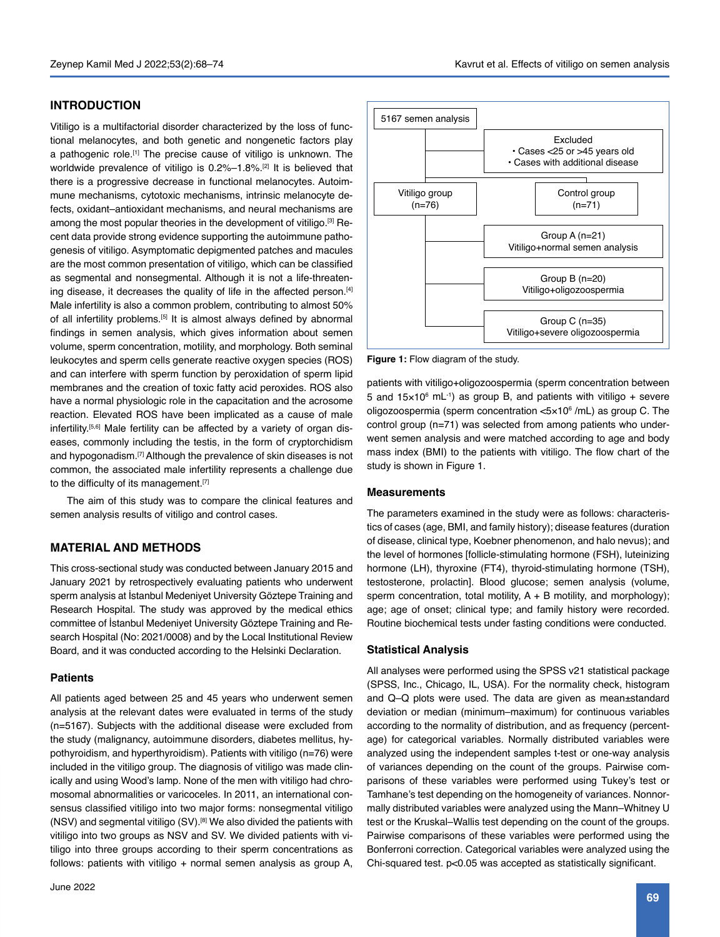# **INTRODUCTION**

Vitiligo is a multifactorial disorder characterized by the loss of functional melanocytes, and both genetic and nongenetic factors play a pathogenic role.[1] The precise cause of vitiligo is unknown. The worldwide prevalence of vitiligo is 0.2%–1.8%.[2] It is believed that there is a progressive decrease in functional melanocytes. Autoimmune mechanisms, cytotoxic mechanisms, intrinsic melanocyte defects, oxidant–antioxidant mechanisms, and neural mechanisms are among the most popular theories in the development of vitiligo.[3] Recent data provide strong evidence supporting the autoimmune pathogenesis of vitiligo. Asymptomatic depigmented patches and macules are the most common presentation of vitiligo, which can be classified as segmental and nonsegmental. Although it is not a life-threatening disease, it decreases the quality of life in the affected person.<sup>[4]</sup> Male infertility is also a common problem, contributing to almost 50% of all infertility problems.[5] It is almost always defined by abnormal findings in semen analysis, which gives information about semen volume, sperm concentration, motility, and morphology. Both seminal leukocytes and sperm cells generate reactive oxygen species (ROS) and can interfere with sperm function by peroxidation of sperm lipid membranes and the creation of toxic fatty acid peroxides. ROS also have a normal physiologic role in the capacitation and the acrosome reaction. Elevated ROS have been implicated as a cause of male infertility.<sup>[5,6]</sup> Male fertility can be affected by a variety of organ diseases, commonly including the testis, in the form of cryptorchidism and hypogonadism.<sup>[7]</sup> Although the prevalence of skin diseases is not common, the associated male infertility represents a challenge due to the difficulty of its management.<sup>[7]</sup>

The aim of this study was to compare the clinical features and semen analysis results of vitiligo and control cases.

# **MATERIAL AND METHODS**

This cross-sectional study was conducted between January 2015 and January 2021 by retrospectively evaluating patients who underwent sperm analysis at İstanbul Medeniyet University Göztepe Training and Research Hospital. The study was approved by the medical ethics committee of İstanbul Medeniyet University Göztepe Training and Research Hospital (No: 2021/0008) and by the Local Institutional Review Board, and it was conducted according to the Helsinki Declaration.

## **Patients**

All patients aged between 25 and 45 years who underwent semen analysis at the relevant dates were evaluated in terms of the study (n=5167). Subjects with the additional disease were excluded from the study (malignancy, autoimmune disorders, diabetes mellitus, hypothyroidism, and hyperthyroidism). Patients with vitiligo (n=76) were included in the vitiligo group. The diagnosis of vitiligo was made clinically and using Wood's lamp. None of the men with vitiligo had chromosomal abnormalities or varicoceles. In 2011, an international consensus classified vitiligo into two major forms: nonsegmental vitiligo (NSV) and segmental vitiligo (SV).[8] We also divided the patients with vitiligo into two groups as NSV and SV. We divided patients with vitiligo into three groups according to their sperm concentrations as follows: patients with vitiligo + normal semen analysis as group A,



**Figure 1:** Flow diagram of the study.

patients with vitiligo+oligozoospermia (sperm concentration between 5 and  $15\times10^6$  mL<sup>-1</sup>) as group B, and patients with vitiligo  $+$  severe oligozoospermia (sperm concentration <5×10<sup>6</sup> /mL) as group C. The control group (n=71) was selected from among patients who underwent semen analysis and were matched according to age and body mass index (BMI) to the patients with vitiligo. The flow chart of the study is shown in Figure 1.

#### **Measurements**

The parameters examined in the study were as follows: characteristics of cases (age, BMI, and family history); disease features (duration of disease, clinical type, Koebner phenomenon, and halo nevus); and the level of hormones [follicle-stimulating hormone (FSH), luteinizing hormone (LH), thyroxine (FT4), thyroid-stimulating hormone (TSH), testosterone, prolactin]. Blood glucose; semen analysis (volume, sperm concentration, total motility,  $A + B$  motility, and morphology); age; age of onset; clinical type; and family history were recorded. Routine biochemical tests under fasting conditions were conducted.

## **Statistical Analysis**

All analyses were performed using the SPSS v21 statistical package (SPSS, Inc., Chicago, IL, USA). For the normality check, histogram and Q–Q plots were used. The data are given as mean±standard deviation or median (minimum–maximum) for continuous variables according to the normality of distribution, and as frequency (percentage) for categorical variables. Normally distributed variables were analyzed using the independent samples t-test or one-way analysis of variances depending on the count of the groups. Pairwise comparisons of these variables were performed using Tukey's test or Tamhane's test depending on the homogeneity of variances. Nonnormally distributed variables were analyzed using the Mann–Whitney U test or the Kruskal–Wallis test depending on the count of the groups. Pairwise comparisons of these variables were performed using the Bonferroni correction. Categorical variables were analyzed using the Chi-squared test. p<0.05 was accepted as statistically significant.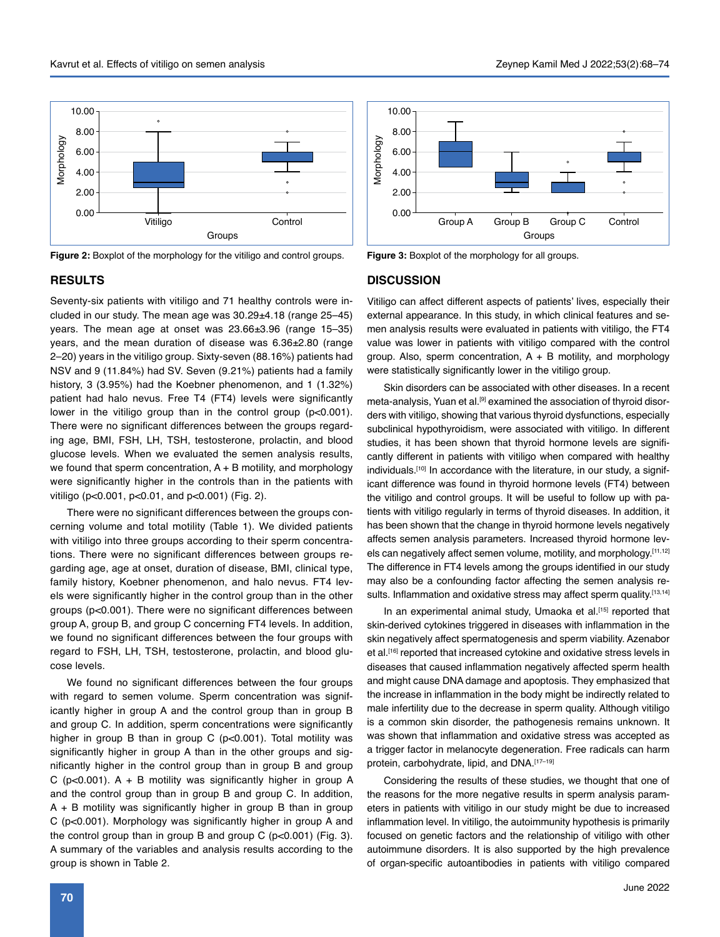



# 10.00 8.00 Morphology **Morphology** 6.00 4.00 2.00 0.00 Group A Group B Group C Control Groups

**Figure 3:** Boxplot of the morphology for all groups.

# **RESULTS**

Seventy-six patients with vitiligo and 71 healthy controls were included in our study. The mean age was  $30.29\pm4.18$  (range  $25-45$ ) years. The mean age at onset was 23.66±3.96 (range 15–35) years, and the mean duration of disease was 6.36±2.80 (range 2–20) years in the vitiligo group. Sixty-seven (88.16%) patients had NSV and 9 (11.84%) had SV. Seven (9.21%) patients had a family history, 3 (3.95%) had the Koebner phenomenon, and 1 (1.32%) patient had halo nevus. Free T4 (FT4) levels were significantly lower in the vitiligo group than in the control group (p<0.001). There were no significant differences between the groups regarding age, BMI, FSH, LH, TSH, testosterone, prolactin, and blood glucose levels. When we evaluated the semen analysis results, we found that sperm concentration,  $A + B$  motility, and morphology were significantly higher in the controls than in the patients with vitiligo (p<0.001, p<0.01, and p<0.001) (Fig. 2).

There were no significant differences between the groups concerning volume and total motility (Table 1). We divided patients with vitiligo into three groups according to their sperm concentrations. There were no significant differences between groups regarding age, age at onset, duration of disease, BMI, clinical type, family history, Koebner phenomenon, and halo nevus. FT4 levels were significantly higher in the control group than in the other groups (p<0.001). There were no significant differences between group A, group B, and group C concerning FT4 levels. In addition, we found no significant differences between the four groups with regard to FSH, LH, TSH, testosterone, prolactin, and blood glucose levels.

We found no significant differences between the four groups with regard to semen volume. Sperm concentration was significantly higher in group A and the control group than in group B and group C. In addition, sperm concentrations were significantly higher in group B than in group C (p<0.001). Total motility was significantly higher in group A than in the other groups and significantly higher in the control group than in group B and group C ( $p < 0.001$ ). A + B motility was significantly higher in group A and the control group than in group B and group C. In addition, A + B motility was significantly higher in group B than in group C (p<0.001). Morphology was significantly higher in group A and the control group than in group B and group C (p<0.001) (Fig. 3). A summary of the variables and analysis results according to the group is shown in Table 2.

## **DISCUSSION**

Vitiligo can affect different aspects of patients' lives, especially their external appearance. In this study, in which clinical features and semen analysis results were evaluated in patients with vitiligo, the FT4 value was lower in patients with vitiligo compared with the control group. Also, sperm concentration,  $A + B$  motility, and morphology were statistically significantly lower in the vitiligo group.

Skin disorders can be associated with other diseases. In a recent meta-analysis, Yuan et al.[9] examined the association of thyroid disorders with vitiligo, showing that various thyroid dysfunctions, especially subclinical hypothyroidism, were associated with vitiligo. In different studies, it has been shown that thyroid hormone levels are significantly different in patients with vitiligo when compared with healthy individuals.<sup>[10]</sup> In accordance with the literature, in our study, a significant difference was found in thyroid hormone levels (FT4) between the vitiligo and control groups. It will be useful to follow up with patients with vitiligo regularly in terms of thyroid diseases. In addition, it has been shown that the change in thyroid hormone levels negatively affects semen analysis parameters. Increased thyroid hormone levels can negatively affect semen volume, motility, and morphology.[11,12] The difference in FT4 levels among the groups identified in our study may also be a confounding factor affecting the semen analysis results. Inflammation and oxidative stress may affect sperm quality.[13,14]

In an experimental animal study, Umaoka et al.<sup>[15]</sup> reported that skin-derived cytokines triggered in diseases with inflammation in the skin negatively affect spermatogenesis and sperm viability. Azenabor et al.<sup>[16]</sup> reported that increased cytokine and oxidative stress levels in diseases that caused inflammation negatively affected sperm health and might cause DNA damage and apoptosis. They emphasized that the increase in inflammation in the body might be indirectly related to male infertility due to the decrease in sperm quality. Although vitiligo is a common skin disorder, the pathogenesis remains unknown. It was shown that inflammation and oxidative stress was accepted as a trigger factor in melanocyte degeneration. Free radicals can harm protein, carbohydrate, lipid, and DNA.[17-19]

Considering the results of these studies, we thought that one of the reasons for the more negative results in sperm analysis parameters in patients with vitiligo in our study might be due to increased inflammation level. In vitiligo, the autoimmunity hypothesis is primarily focused on genetic factors and the relationship of vitiligo with other autoimmune disorders. It is also supported by the high prevalence of organ-specific autoantibodies in patients with vitiligo compared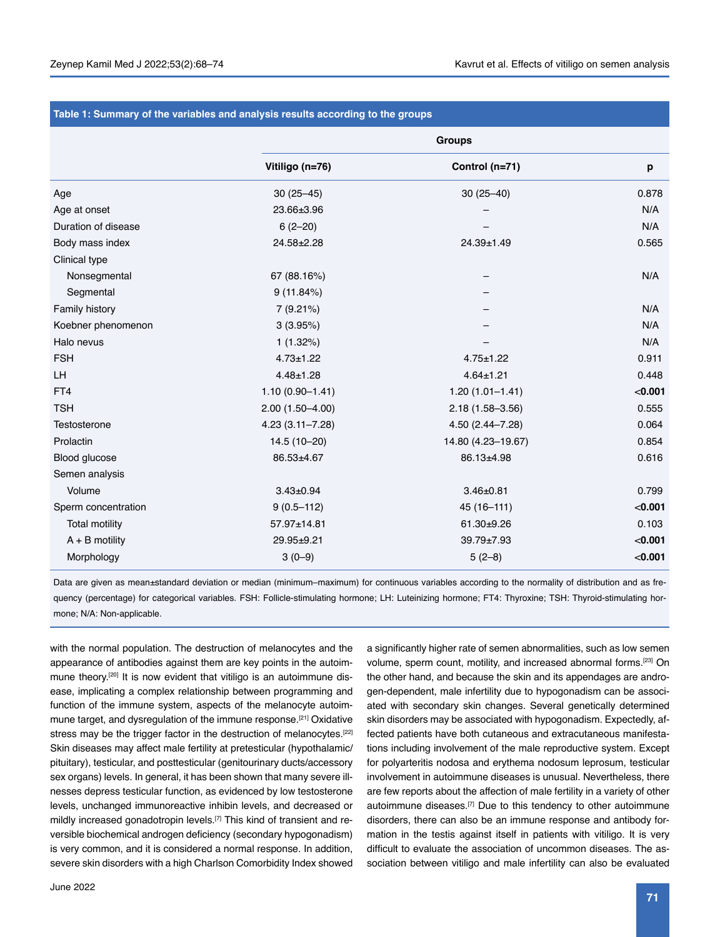| Table 1: Summary of the variables and analysis results according to the groups |                     |                     |         |  |  |  |
|--------------------------------------------------------------------------------|---------------------|---------------------|---------|--|--|--|
|                                                                                | <b>Groups</b>       |                     |         |  |  |  |
|                                                                                | Vitiligo (n=76)     | Control (n=71)      | p       |  |  |  |
| Age                                                                            | $30(25 - 45)$       | $30(25 - 40)$       | 0.878   |  |  |  |
| Age at onset                                                                   | 23.66±3.96          |                     | N/A     |  |  |  |
| Duration of disease                                                            | $6(2-20)$           |                     | N/A     |  |  |  |
| Body mass index                                                                | 24.58±2.28          | 24.39±1.49          | 0.565   |  |  |  |
| Clinical type                                                                  |                     |                     |         |  |  |  |
| Nonsegmental                                                                   | 67 (88.16%)         |                     | N/A     |  |  |  |
| Segmental                                                                      | 9(11.84%)           |                     |         |  |  |  |
| Family history                                                                 | 7(9.21%)            |                     | N/A     |  |  |  |
| Koebner phenomenon                                                             | 3(3.95%)            |                     | N/A     |  |  |  |
| Halo nevus                                                                     | 1(1.32%)            |                     | N/A     |  |  |  |
| <b>FSH</b>                                                                     | $4.73 \pm 1.22$     | $4.75 \pm 1.22$     | 0.911   |  |  |  |
| LH                                                                             | $4.48 \pm 1.28$     | $4.64 \pm 1.21$     | 0.448   |  |  |  |
| FT4                                                                            | $1.10(0.90 - 1.41)$ | $1.20(1.01 - 1.41)$ | < 0.001 |  |  |  |
| <b>TSH</b>                                                                     | $2.00(1.50 - 4.00)$ | $2.18(1.58 - 3.56)$ | 0.555   |  |  |  |
| Testosterone                                                                   | $4.23(3.11 - 7.28)$ | 4.50 (2.44-7.28)    | 0.064   |  |  |  |
| Prolactin                                                                      | 14.5 (10-20)        | 14.80 (4.23-19.67)  | 0.854   |  |  |  |
| Blood glucose                                                                  | 86.53±4.67          | 86.13±4.98          | 0.616   |  |  |  |
| Semen analysis                                                                 |                     |                     |         |  |  |  |
| Volume                                                                         | $3.43 \pm 0.94$     | $3.46 \pm 0.81$     | 0.799   |  |  |  |
| Sperm concentration                                                            | $9(0.5 - 112)$      | 45 (16-111)         | < 0.001 |  |  |  |
| <b>Total motility</b>                                                          | 57.97±14.81         | 61.30±9.26          | 0.103   |  |  |  |
| $A + B$ motility                                                               | 29.95±9.21          | 39.79±7.93          | < 0.001 |  |  |  |
| Morphology                                                                     | $3(0-9)$            | $5(2-8)$            | < 0.001 |  |  |  |
|                                                                                |                     |                     |         |  |  |  |

## **Table 1: Summary of the variables and analysis results according to the groups**

Data are given as mean±standard deviation or median (minimum–maximum) for continuous variables according to the normality of distribution and as frequency (percentage) for categorical variables. FSH: Follicle-stimulating hormone; LH: Luteinizing hormone; FT4: Thyroxine; TSH: Thyroid-stimulating hormone; N/A: Non-applicable.

with the normal population. The destruction of melanocytes and the appearance of antibodies against them are key points in the autoimmune theory.<sup>[20]</sup> It is now evident that vitiligo is an autoimmune disease, implicating a complex relationship between programming and function of the immune system, aspects of the melanocyte autoimmune target, and dysregulation of the immune response.<sup>[21]</sup> Oxidative stress may be the trigger factor in the destruction of melanocytes.<sup>[22]</sup> Skin diseases may affect male fertility at pretesticular (hypothalamic/ pituitary), testicular, and posttesticular (genitourinary ducts/accessory sex organs) levels. In general, it has been shown that many severe illnesses depress testicular function, as evidenced by low testosterone levels, unchanged immunoreactive inhibin levels, and decreased or mildly increased gonadotropin levels.<sup>[7]</sup> This kind of transient and reversible biochemical androgen deficiency (secondary hypogonadism) is very common, and it is considered a normal response. In addition, severe skin disorders with a high Charlson Comorbidity Index showed

volume, sperm count, motility, and increased abnormal forms.[23] On the other hand, and because the skin and its appendages are androgen-dependent, male infertility due to hypogonadism can be associated with secondary skin changes. Several genetically determined skin disorders may be associated with hypogonadism. Expectedly, affected patients have both cutaneous and extracutaneous manifestations including involvement of the male reproductive system. Except for polyarteritis nodosa and erythema nodosum leprosum, testicular involvement in autoimmune diseases is unusual. Nevertheless, there are few reports about the affection of male fertility in a variety of other autoimmune diseases.[7] Due to this tendency to other autoimmune disorders, there can also be an immune response and antibody formation in the testis against itself in patients with vitiligo. It is very difficult to evaluate the association of uncommon diseases. The association between vitiligo and male infertility can also be evaluated

a significantly higher rate of semen abnormalities, such as low semen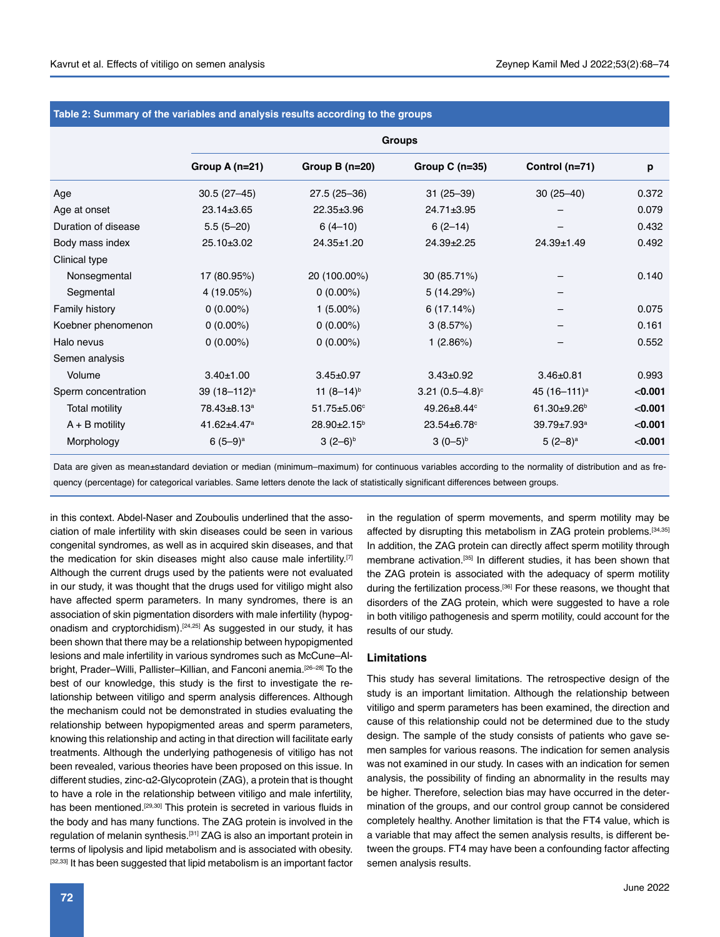| Table 2: Summary of the variables and analysis results according to the groups |                         |                         |                    |                         |         |  |  |  |
|--------------------------------------------------------------------------------|-------------------------|-------------------------|--------------------|-------------------------|---------|--|--|--|
|                                                                                | <b>Groups</b>           |                         |                    |                         |         |  |  |  |
|                                                                                | Group A (n=21)          | Group $B(n=20)$         | Group $C(n=35)$    | Control (n=71)          | p       |  |  |  |
| Age                                                                            | $30.5(27-45)$           | 27.5 (25-36)            | $31(25-39)$        | $30(25 - 40)$           | 0.372   |  |  |  |
| Age at onset                                                                   | 23.14±3.65              | 22.35±3.96              | 24.71±3.95         |                         | 0.079   |  |  |  |
| Duration of disease                                                            | $5.5(5-20)$             | $6(4-10)$               | $6(2-14)$          |                         | 0.432   |  |  |  |
| Body mass index                                                                | $25.10 \pm 3.02$        | 24.35±1.20              | $24.39 \pm 2.25$   | 24.39±1.49              | 0.492   |  |  |  |
| Clinical type                                                                  |                         |                         |                    |                         |         |  |  |  |
| Nonsegmental                                                                   | 17 (80.95%)             | 20 (100.00%)            | 30 (85.71%)        |                         | 0.140   |  |  |  |
| Segmental                                                                      | 4 (19.05%)              | $0(0.00\%)$             | 5(14.29%)          |                         |         |  |  |  |
| Family history                                                                 | $0(0.00\%)$             | $1(5.00\%)$             | 6(17.14%)          |                         | 0.075   |  |  |  |
| Koebner phenomenon                                                             | $0(0.00\%)$             | $0(0.00\%)$             | 3(8.57%)           |                         | 0.161   |  |  |  |
| Halo nevus                                                                     | $0(0.00\%)$             | $0(0.00\%)$             | 1(2.86%)           |                         | 0.552   |  |  |  |
| Semen analysis                                                                 |                         |                         |                    |                         |         |  |  |  |
| Volume                                                                         | $3.40 \pm 1.00$         | $3.45 \pm 0.97$         | $3.43 \pm 0.92$    | $3.46 \pm 0.81$         | 0.993   |  |  |  |
| Sperm concentration                                                            | 39 $(18-112)^a$         | 11 $(8-14)^{b}$         | 3.21 $(0.5-4.8)$ ° | 45 $(16-111)^a$         | < 0.001 |  |  |  |
| <b>Total motility</b>                                                          | 78.43±8.13 <sup>a</sup> | $51.75 + 5.06$ °        | 49.26±8.44°        | $61.30 + 9.26$          | < 0.001 |  |  |  |
| $A + B$ motility                                                               | 41.62±4.47 <sup>a</sup> | 28.90±2.15 <sup>b</sup> | 23.54±6.78°        | 39.79±7.93 <sup>a</sup> | < 0.001 |  |  |  |
| Morphology                                                                     | $6(5-9)$ <sup>a</sup>   | $3(2-6)^{b}$            | $3(0-5)^{b}$       | $5(2-8)^a$              | < 0.001 |  |  |  |
|                                                                                |                         |                         |                    |                         |         |  |  |  |

Data are given as mean±standard deviation or median (minimum–maximum) for continuous variables according to the normality of distribution and as frequency (percentage) for categorical variables. Same letters denote the lack of statistically significant differences between groups.

in this context. Abdel-Naser and Zouboulis underlined that the association of male infertility with skin diseases could be seen in various congenital syndromes, as well as in acquired skin diseases, and that the medication for skin diseases might also cause male infertility.<sup>[7]</sup> Although the current drugs used by the patients were not evaluated in our study, it was thought that the drugs used for vitiligo might also have affected sperm parameters. In many syndromes, there is an association of skin pigmentation disorders with male infertility (hypogonadism and cryptorchidism).[24,25] As suggested in our study, it has been shown that there may be a relationship between hypopigmented lesions and male infertility in various syndromes such as McCune–Albright, Prader-Willi, Pallister-Killian, and Fanconi anemia.<sup>[26-28]</sup> To the best of our knowledge, this study is the first to investigate the relationship between vitiligo and sperm analysis differences. Although the mechanism could not be demonstrated in studies evaluating the relationship between hypopigmented areas and sperm parameters, knowing this relationship and acting in that direction will facilitate early treatments. Although the underlying pathogenesis of vitiligo has not been revealed, various theories have been proposed on this issue. In different studies, zinc-α2-Glycoprotein (ZAG), a protein that is thought to have a role in the relationship between vitiligo and male infertility, has been mentioned.<sup>[29,30]</sup> This protein is secreted in various fluids in the body and has many functions. The ZAG protein is involved in the regulation of melanin synthesis.[31] ZAG is also an important protein in terms of lipolysis and lipid metabolism and is associated with obesity. [32,33] It has been suggested that lipid metabolism is an important factor in the regulation of sperm movements, and sperm motility may be affected by disrupting this metabolism in ZAG protein problems.<sup>[34,35]</sup> In addition, the ZAG protein can directly affect sperm motility through membrane activation.[35] In different studies, it has been shown that the ZAG protein is associated with the adequacy of sperm motility during the fertilization process.[36] For these reasons, we thought that disorders of the ZAG protein, which were suggested to have a role in both vitiligo pathogenesis and sperm motility, could account for the results of our study.

# **Limitations**

This study has several limitations. The retrospective design of the study is an important limitation. Although the relationship between vitiligo and sperm parameters has been examined, the direction and cause of this relationship could not be determined due to the study design. The sample of the study consists of patients who gave semen samples for various reasons. The indication for semen analysis was not examined in our study. In cases with an indication for semen analysis, the possibility of finding an abnormality in the results may be higher. Therefore, selection bias may have occurred in the determination of the groups, and our control group cannot be considered completely healthy. Another limitation is that the FT4 value, which is a variable that may affect the semen analysis results, is different between the groups. FT4 may have been a confounding factor affecting semen analysis results.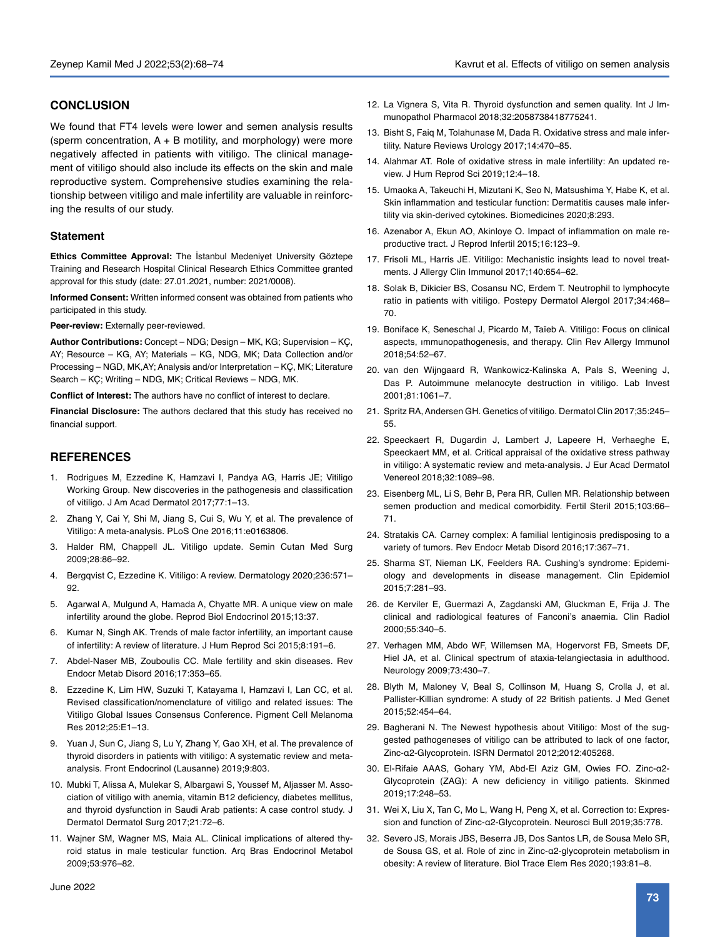# **CONCLUSION**

We found that FT4 levels were lower and semen analysis results (sperm concentration,  $A + B$  motility, and morphology) were more negatively affected in patients with vitiligo. The clinical management of vitiligo should also include its effects on the skin and male reproductive system. Comprehensive studies examining the relationship between vitiligo and male infertility are valuable in reinforcing the results of our study.

## **Statement**

**Ethics Committee Approval:** The İstanbul Medeniyet University Göztepe Training and Research Hospital Clinical Research Ethics Committee granted approval for this study (date: 27.01.2021, number: 2021/0008).

**Informed Consent:** Written informed consent was obtained from patients who participated in this study.

**Peer-review:** Externally peer-reviewed.

**Author Contributions:** Concept – NDG; Design – MK, KG; Supervision – KÇ, AY; Resource – KG, AY; Materials – KG, NDG, MK; Data Collection and/or Processing – NGD, MK,AY; Analysis and/or Interpretation – KÇ, MK; Literature Search – KÇ; Writing – NDG, MK; Critical Reviews – NDG, MK.

**Conflict of Interest:** The authors have no conflict of interest to declare.

**Financial Disclosure:** The authors declared that this study has received no financial support.

# **REFERENCES**

- 1. Rodrigues M, Ezzedine K, Hamzavi I, Pandya AG, Harris JE; Vitiligo Working Group. New discoveries in the pathogenesis and classification of vitiligo. J Am Acad Dermatol 2017;77:1–13.
- 2. Zhang Y, Cai Y, Shi M, Jiang S, Cui S, Wu Y, et al. The prevalence of Vitiligo: A meta-analysis. PLoS One 2016;11:e0163806.
- 3. Halder RM, Chappell JL. Vitiligo update. Semin Cutan Med Surg 2009;28:86–92.
- 4. Bergqvist C, Ezzedine K. Vitiligo: A review. Dermatology 2020;236:571– 92.
- 5. Agarwal A, Mulgund A, Hamada A, Chyatte MR. A unique view on male infertility around the globe. Reprod Biol Endocrinol 2015;13:37.
- 6. Kumar N, Singh AK. Trends of male factor infertility, an important cause of infertility: A review of literature. J Hum Reprod Sci 2015;8:191–6.
- 7. Abdel-Naser MB, Zouboulis CC. Male fertility and skin diseases. Rev Endocr Metab Disord 2016;17:353–65.
- 8. Ezzedine K, Lim HW, Suzuki T, Katayama I, Hamzavi I, Lan CC, et al. Revised classification/nomenclature of vitiligo and related issues: The Vitiligo Global Issues Consensus Conference. Pigment Cell Melanoma Res 2012;25:E1–13.
- 9. Yuan J, Sun C, Jiang S, Lu Y, Zhang Y, Gao XH, et al. The prevalence of thyroid disorders in patients with vitiligo: A systematic review and metaanalysis. Front Endocrinol (Lausanne) 2019;9:803.
- 10. Mubki T, Alissa A, Mulekar S, Albargawi S, Youssef M, Aljasser M. Association of vitiligo with anemia, vitamin B12 deficiency, diabetes mellitus, and thyroid dysfunction in Saudi Arab patients: A case control study. J Dermatol Dermatol Surg 2017;21:72–6.
- 11. Wajner SM, Wagner MS, Maia AL. Clinical implications of altered thyroid status in male testicular function. Arq Bras Endocrinol Metabol 2009;53:976–82.
- 12. La Vignera S, Vita R. Thyroid dysfunction and semen quality. Int J Immunopathol Pharmacol 2018;32:2058738418775241.
- 13. Bisht S, Faiq M, Tolahunase M, Dada R. Oxidative stress and male infertility. Nature Reviews Urology 2017;14:470–85.
- 14. Alahmar AT. Role of oxidative stress in male infertility: An updated review. J Hum Reprod Sci 2019;12:4–18.
- 15. Umaoka A, Takeuchi H, Mizutani K, Seo N, Matsushima Y, Habe K, et al. Skin inflammation and testicular function: Dermatitis causes male infertility via skin-derived cytokines. Biomedicines 2020;8:293.
- 16. Azenabor A, Ekun AO, Akinloye O. Impact of inflammation on male reproductive tract. J Reprod Infertil 2015;16:123–9.
- 17. Frisoli ML, Harris JE. Vitiligo: Mechanistic insights lead to novel treatments. J Allergy Clin Immunol 2017;140:654–62.
- 18. Solak B, Dikicier BS, Cosansu NC, Erdem T. Neutrophil to lymphocyte ratio in patients with vitiligo. Postepy Dermatol Alergol 2017;34:468– 70.
- 19. Boniface K, Seneschal J, Picardo M, Taïeb A. Vitiligo: Focus on clinical aspects, ımmunopathogenesis, and therapy. Clin Rev Allergy Immunol 2018;54:52–67.
- 20. van den Wijngaard R, Wankowicz-Kalinska A, Pals S, Weening J, Das P. Autoimmune melanocyte destruction in vitiligo. Lab Invest 2001;81:1061–7.
- 21. Spritz RA, Andersen GH. Genetics of vitiligo. Dermatol Clin 2017;35:245– 55.
- 22. Speeckaert R, Dugardin J, Lambert J, Lapeere H, Verhaeghe E, Speeckaert MM, et al. Critical appraisal of the oxidative stress pathway in vitiligo: A systematic review and meta-analysis. J Eur Acad Dermatol Venereol 2018;32:1089–98.
- 23. Eisenberg ML, Li S, Behr B, Pera RR, Cullen MR. Relationship between semen production and medical comorbidity. Fertil Steril 2015;103:66– 71.
- 24. Stratakis CA. Carney complex: A familial lentiginosis predisposing to a variety of tumors. Rev Endocr Metab Disord 2016;17:367–71.
- 25. Sharma ST, Nieman LK, Feelders RA. Cushing's syndrome: Epidemiology and developments in disease management. Clin Epidemiol 2015;7:281–93.
- 26. de Kerviler E, Guermazi A, Zagdanski AM, Gluckman E, Frija J. The clinical and radiological features of Fanconi's anaemia. Clin Radiol 2000;55:340–5.
- 27. Verhagen MM, Abdo WF, Willemsen MA, Hogervorst FB, Smeets DF, Hiel JA, et al. Clinical spectrum of ataxia-telangiectasia in adulthood. Neurology 2009;73:430–7.
- 28. Blyth M, Maloney V, Beal S, Collinson M, Huang S, Crolla J, et al. Pallister-Killian syndrome: A study of 22 British patients. J Med Genet 2015;52:454–64.
- 29. Bagherani N. The Newest hypothesis about Vitiligo: Most of the suggested pathogeneses of vitiligo can be attributed to lack of one factor, Zinc-α2-Glycoprotein. ISRN Dermatol 2012;2012:405268.
- 30. El-Rifaie AAAS, Gohary YM, Abd-El Aziz GM, Owies FO. Zinc-α2- Glycoprotein (ZAG): A new deficiency in vitiligo patients. Skinmed 2019;17:248–53.
- 31. Wei X, Liu X, Tan C, Mo L, Wang H, Peng X, et al. Correction to: Expression and function of Zinc-α2-Glycoprotein. Neurosci Bull 2019;35:778.
- 32. Severo JS, Morais JBS, Beserra JB, Dos Santos LR, de Sousa Melo SR, de Sousa GS, et al. Role of zinc in Zinc-α2-glycoprotein metabolism in obesity: A review of literature. Biol Trace Elem Res 2020;193:81–8.